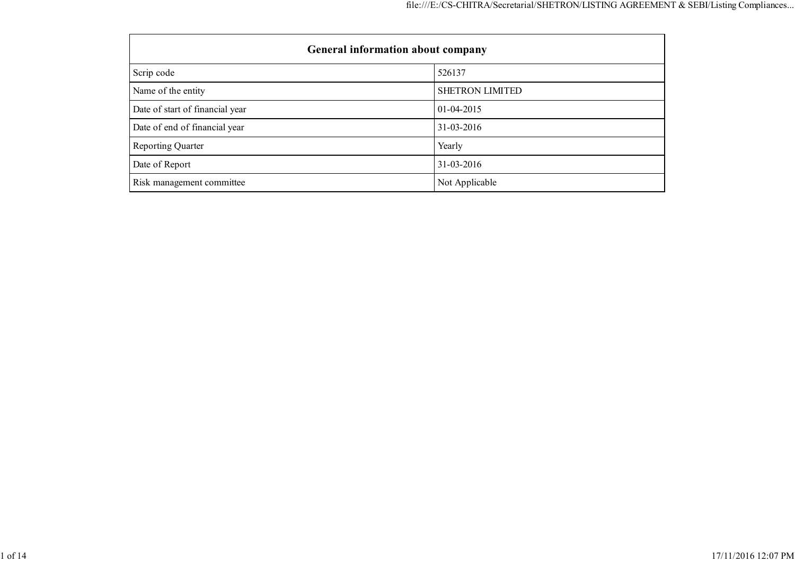| <b>General information about company</b> |                        |  |  |  |  |  |
|------------------------------------------|------------------------|--|--|--|--|--|
| Scrip code                               | 526137                 |  |  |  |  |  |
| Name of the entity                       | <b>SHETRON LIMITED</b> |  |  |  |  |  |
| Date of start of financial year          | $01 - 04 - 2015$       |  |  |  |  |  |
| Date of end of financial year            | 31-03-2016             |  |  |  |  |  |
| <b>Reporting Quarter</b>                 | Yearly                 |  |  |  |  |  |
| Date of Report                           | 31-03-2016             |  |  |  |  |  |
| Risk management committee                | Not Applicable         |  |  |  |  |  |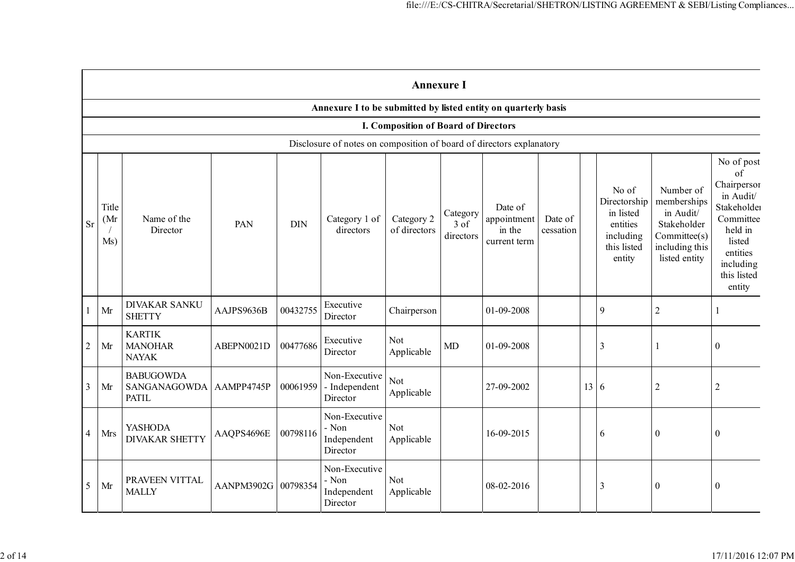|                |                      |                                                  |                     |            |                                                                      | <b>Annexure I</b>                           |                               |                                                  |                      |      |                                                                                      |                                                                                                         |                                                                                                                                                         |
|----------------|----------------------|--------------------------------------------------|---------------------|------------|----------------------------------------------------------------------|---------------------------------------------|-------------------------------|--------------------------------------------------|----------------------|------|--------------------------------------------------------------------------------------|---------------------------------------------------------------------------------------------------------|---------------------------------------------------------------------------------------------------------------------------------------------------------|
|                |                      |                                                  |                     |            | Annexure I to be submitted by listed entity on quarterly basis       |                                             |                               |                                                  |                      |      |                                                                                      |                                                                                                         |                                                                                                                                                         |
|                |                      |                                                  |                     |            |                                                                      | <b>I. Composition of Board of Directors</b> |                               |                                                  |                      |      |                                                                                      |                                                                                                         |                                                                                                                                                         |
|                |                      |                                                  |                     |            | Disclosure of notes on composition of board of directors explanatory |                                             |                               |                                                  |                      |      |                                                                                      |                                                                                                         |                                                                                                                                                         |
| <b>Sr</b>      | Title<br>(Mr)<br>Ms) | Name of the<br>Director                          | PAN                 | <b>DIN</b> | Category 1 of<br>directors                                           | Category 2<br>of directors                  | Category<br>3 of<br>directors | Date of<br>appointment<br>in the<br>current term | Date of<br>cessation |      | No of<br>Directorship<br>in listed<br>entities<br>including<br>this listed<br>entity | Number of<br>memberships<br>in Audit/<br>Stakeholder<br>Committee(s)<br>including this<br>listed entity | No of post<br>$\sigma$ f<br>Chairperson<br>in Audit/<br>Stakeholder<br>Committee<br>held in<br>listed<br>entities<br>including<br>this listed<br>entity |
|                | Mr                   | <b>DIVAKAR SANKU</b><br><b>SHETTY</b>            | AAJPS9636B          | 00432755   | Executive<br>Director                                                | Chairperson                                 |                               | 01-09-2008                                       |                      |      | 9                                                                                    | $\overline{2}$                                                                                          |                                                                                                                                                         |
| $\overline{c}$ | Mr                   | <b>KARTIK</b><br><b>MANOHAR</b><br><b>NAYAK</b>  | ABEPN0021D          | 00477686   | Executive<br>Director                                                | Not<br>Applicable                           | MD                            | 01-09-2008                                       |                      |      | 3                                                                                    |                                                                                                         | $\boldsymbol{0}$                                                                                                                                        |
| $\mathfrak{Z}$ | Mr                   | <b>BABUGOWDA</b><br>SANGANAGOWDA<br><b>PATIL</b> | AAMPP4745P          | 00061959   | Non-Executive<br>- Independent<br>Director                           | <b>Not</b><br>Applicable                    |                               | 27-09-2002                                       |                      | 13 6 |                                                                                      | $\overline{2}$                                                                                          | $\overline{2}$                                                                                                                                          |
| $\overline{4}$ | Mrs                  | <b>YASHODA</b><br><b>DIVAKAR SHETTY</b>          | AAQPS4696E          | 00798116   | Non-Executive<br>- Non<br>Independent<br>Director                    | <b>Not</b><br>Applicable                    |                               | 16-09-2015                                       |                      |      | 6                                                                                    | $\boldsymbol{0}$                                                                                        | $\boldsymbol{0}$                                                                                                                                        |
| 5              | Mr                   | PRAVEEN VITTAL<br><b>MALLY</b>                   | AANPM3902G 00798354 |            | Non-Executive<br>- Non<br>Independent<br>Director                    | <b>Not</b><br>Applicable                    |                               | 08-02-2016                                       |                      |      | 3                                                                                    | $\theta$                                                                                                | $\boldsymbol{0}$                                                                                                                                        |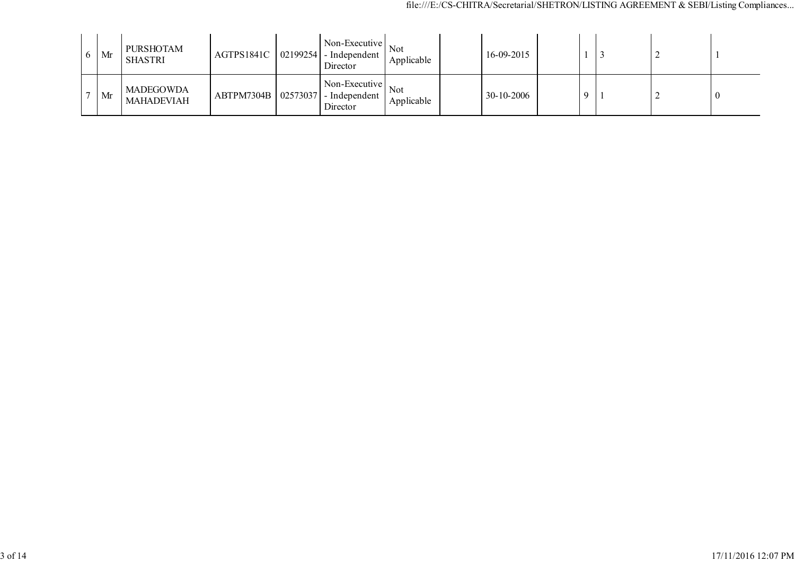| $\sigma$ | Mr | <b>PURSHOTAM</b><br><b>SHASTRI</b>    | AGTPS1841C | Non-Executive<br>$\vert 02199254 \vert$ - Independent<br>Director    | <b>Not</b><br>Applicable | 16-09-2015 |  |  |          |
|----------|----|---------------------------------------|------------|----------------------------------------------------------------------|--------------------------|------------|--|--|----------|
|          | Mr | <b>MADEGOWDA</b><br><b>MAHADEVIAH</b> |            | Non-Executive<br>$ABTPM7304B$   02573037   - Independent<br>Director | Not<br>Applicable        | 30-10-2006 |  |  | $\bf{0}$ |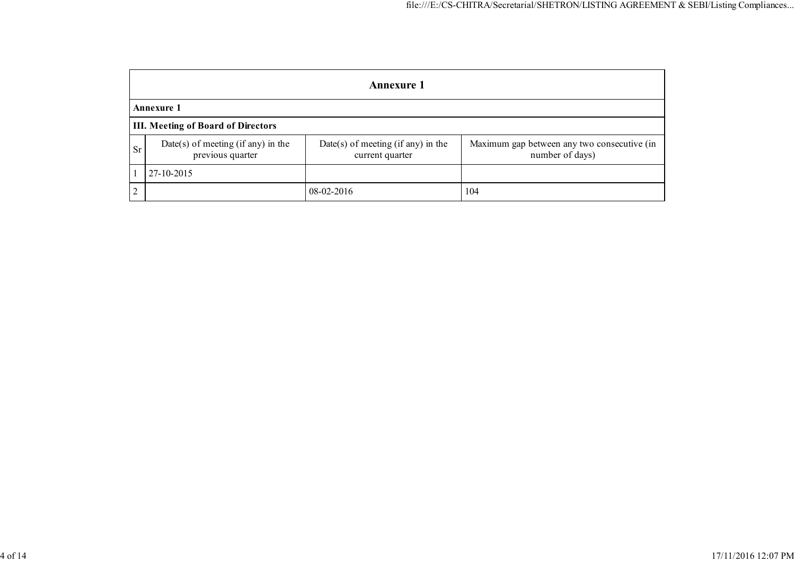|               | <b>Annexure 1</b>                                      |                                                       |                                                                |  |  |  |  |  |  |
|---------------|--------------------------------------------------------|-------------------------------------------------------|----------------------------------------------------------------|--|--|--|--|--|--|
|               | <b>Annexure 1</b>                                      |                                                       |                                                                |  |  |  |  |  |  |
|               | <b>III. Meeting of Board of Directors</b>              |                                                       |                                                                |  |  |  |  |  |  |
| <b>Sr</b>     | Date(s) of meeting (if any) in the<br>previous quarter | Date(s) of meeting (if any) in the<br>current quarter | Maximum gap between any two consecutive (in<br>number of days) |  |  |  |  |  |  |
|               | 27-10-2015                                             |                                                       |                                                                |  |  |  |  |  |  |
| $\mathcal{L}$ |                                                        | 08-02-2016                                            | 104                                                            |  |  |  |  |  |  |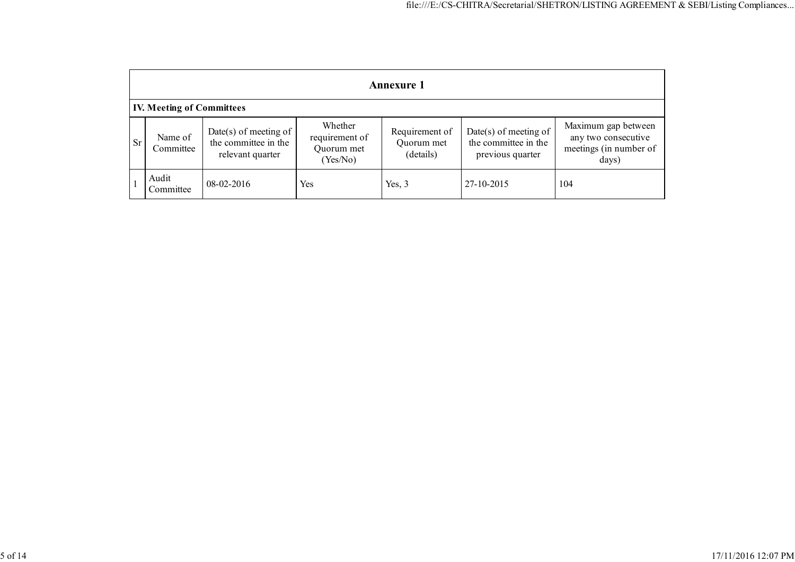|           | <b>Annexure 1</b>                |                                                                     |                                                     |                                           |                                                                   |                                                                               |  |  |  |  |
|-----------|----------------------------------|---------------------------------------------------------------------|-----------------------------------------------------|-------------------------------------------|-------------------------------------------------------------------|-------------------------------------------------------------------------------|--|--|--|--|
|           | <b>IV. Meeting of Committees</b> |                                                                     |                                                     |                                           |                                                                   |                                                                               |  |  |  |  |
| <b>Sr</b> | Name of<br>Committee             | $Date(s)$ of meeting of<br>the committee in the<br>relevant quarter | Whether<br>requirement of<br>Quorum met<br>(Yes/No) | Requirement of<br>Quorum met<br>(details) | Date(s) of meeting of<br>the committee in the<br>previous quarter | Maximum gap between<br>any two consecutive<br>meetings (in number of<br>days) |  |  |  |  |
|           | Audit<br>Committee               | 08-02-2016                                                          | Yes                                                 | Yes, $3$                                  | 27-10-2015                                                        | 104                                                                           |  |  |  |  |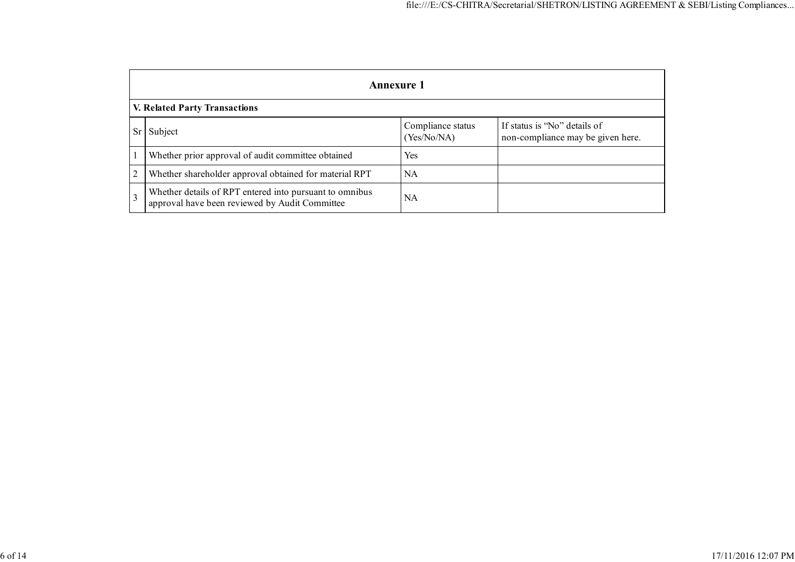|                      | Annexure 1                                                                                                |                                  |                                                                   |  |  |  |  |  |
|----------------------|-----------------------------------------------------------------------------------------------------------|----------------------------------|-------------------------------------------------------------------|--|--|--|--|--|
|                      | <b>V. Related Party Transactions</b>                                                                      |                                  |                                                                   |  |  |  |  |  |
| Subject<br><b>Sr</b> |                                                                                                           | Compliance status<br>(Yes/No/NA) | If status is "No" details of<br>non-compliance may be given here. |  |  |  |  |  |
|                      | Whether prior approval of audit committee obtained                                                        | Yes                              |                                                                   |  |  |  |  |  |
| 2                    | Whether shareholder approval obtained for material RPT                                                    | <b>NA</b>                        |                                                                   |  |  |  |  |  |
| $\overline{3}$       | Whether details of RPT entered into pursuant to omnibus<br>approval have been reviewed by Audit Committee | NA                               |                                                                   |  |  |  |  |  |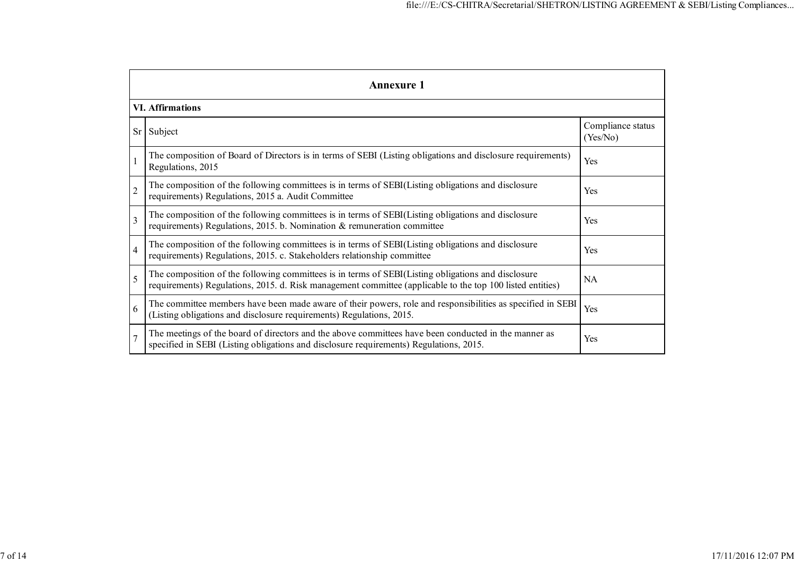|                | <b>Annexure 1</b>                                                                                                                                                                                               |                               |  |  |  |  |  |  |  |
|----------------|-----------------------------------------------------------------------------------------------------------------------------------------------------------------------------------------------------------------|-------------------------------|--|--|--|--|--|--|--|
|                | <b>VI. Affirmations</b>                                                                                                                                                                                         |                               |  |  |  |  |  |  |  |
| Sr             | Subject                                                                                                                                                                                                         | Compliance status<br>(Yes/No) |  |  |  |  |  |  |  |
|                | The composition of Board of Directors is in terms of SEBI (Listing obligations and disclosure requirements)<br>Regulations, 2015                                                                                | Yes                           |  |  |  |  |  |  |  |
| $\overline{2}$ | The composition of the following committees is in terms of SEBI(Listing obligations and disclosure<br>requirements) Regulations, 2015 a. Audit Committee                                                        | <b>Yes</b>                    |  |  |  |  |  |  |  |
| $\overline{3}$ | The composition of the following committees is in terms of SEBI(Listing obligations and disclosure<br>requirements) Regulations, 2015. b. Nomination & remuneration committee                                   | Yes                           |  |  |  |  |  |  |  |
| $\overline{4}$ | The composition of the following committees is in terms of SEBI(Listing obligations and disclosure<br>requirements) Regulations, 2015. c. Stakeholders relationship committee                                   | Yes                           |  |  |  |  |  |  |  |
| 5              | The composition of the following committees is in terms of SEBI(Listing obligations and disclosure<br>requirements) Regulations, 2015. d. Risk management committee (applicable to the top 100 listed entities) | <b>NA</b>                     |  |  |  |  |  |  |  |
| 6              | The committee members have been made aware of their powers, role and responsibilities as specified in SEBI<br>(Listing obligations and disclosure requirements) Regulations, 2015.                              | Yes                           |  |  |  |  |  |  |  |
| $\overline{7}$ | The meetings of the board of directors and the above committees have been conducted in the manner as<br>specified in SEBI (Listing obligations and disclosure requirements) Regulations, 2015.                  | Yes                           |  |  |  |  |  |  |  |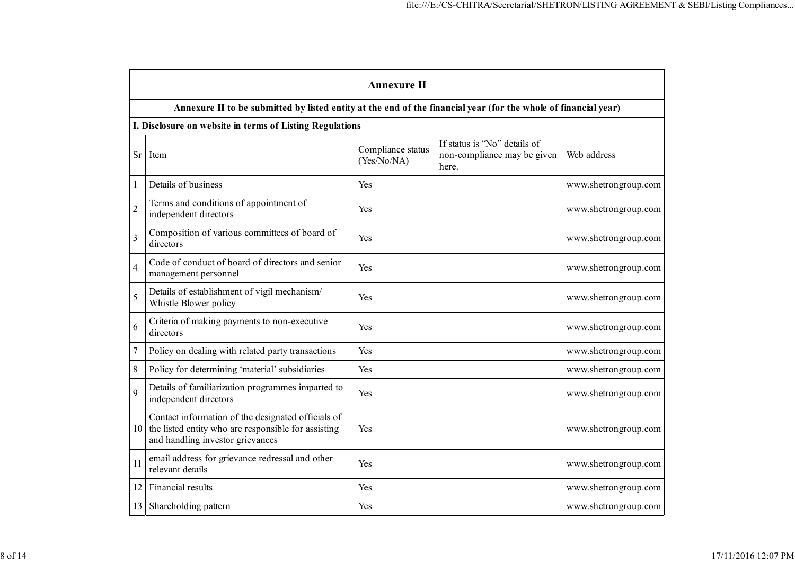|                  | <b>Annexure II</b>                                                                                                                            |                                  |                                                                      |                      |  |  |  |  |  |  |
|------------------|-----------------------------------------------------------------------------------------------------------------------------------------------|----------------------------------|----------------------------------------------------------------------|----------------------|--|--|--|--|--|--|
|                  | Annexure II to be submitted by listed entity at the end of the financial year (for the whole of financial year)                               |                                  |                                                                      |                      |  |  |  |  |  |  |
|                  | I. Disclosure on website in terms of Listing Regulations                                                                                      |                                  |                                                                      |                      |  |  |  |  |  |  |
| Sr               | Item                                                                                                                                          | Compliance status<br>(Yes/No/NA) | If status is "No" details of<br>non-compliance may be given<br>here. | Web address          |  |  |  |  |  |  |
| 1                | Details of business                                                                                                                           | Yes                              |                                                                      | www.shetrongroup.com |  |  |  |  |  |  |
| $\overline{2}$   | Terms and conditions of appointment of<br>independent directors                                                                               | Yes                              |                                                                      | www.shetrongroup.com |  |  |  |  |  |  |
| 3                | Composition of various committees of board of<br>directors                                                                                    | Yes                              |                                                                      | www.shetrongroup.com |  |  |  |  |  |  |
| $\overline{4}$   | Code of conduct of board of directors and senior<br>management personnel                                                                      | Yes                              |                                                                      | www.shetrongroup.com |  |  |  |  |  |  |
| 5                | Details of establishment of vigil mechanism/<br>Whistle Blower policy                                                                         | Yes                              |                                                                      | www.shetrongroup.com |  |  |  |  |  |  |
| 6                | Criteria of making payments to non-executive<br>directors                                                                                     | Yes                              |                                                                      | www.shetrongroup.com |  |  |  |  |  |  |
| $\boldsymbol{7}$ | Policy on dealing with related party transactions                                                                                             | Yes                              |                                                                      | www.shetrongroup.com |  |  |  |  |  |  |
| $8\,$            | Policy for determining 'material' subsidiaries                                                                                                | Yes                              |                                                                      | www.shetrongroup.com |  |  |  |  |  |  |
| 9                | Details of familiarization programmes imparted to<br>independent directors                                                                    | Yes                              |                                                                      | www.shetrongroup.com |  |  |  |  |  |  |
| 10               | Contact information of the designated officials of<br>the listed entity who are responsible for assisting<br>and handling investor grievances | Yes                              |                                                                      | www.shetrongroup.com |  |  |  |  |  |  |
| 11               | email address for grievance redressal and other<br>relevant details                                                                           | Yes                              |                                                                      | www.shetrongroup.com |  |  |  |  |  |  |
| 12               | Financial results                                                                                                                             | Yes                              |                                                                      | www.shetrongroup.com |  |  |  |  |  |  |
| 13               | Shareholding pattern                                                                                                                          | Yes                              |                                                                      | www.shetrongroup.com |  |  |  |  |  |  |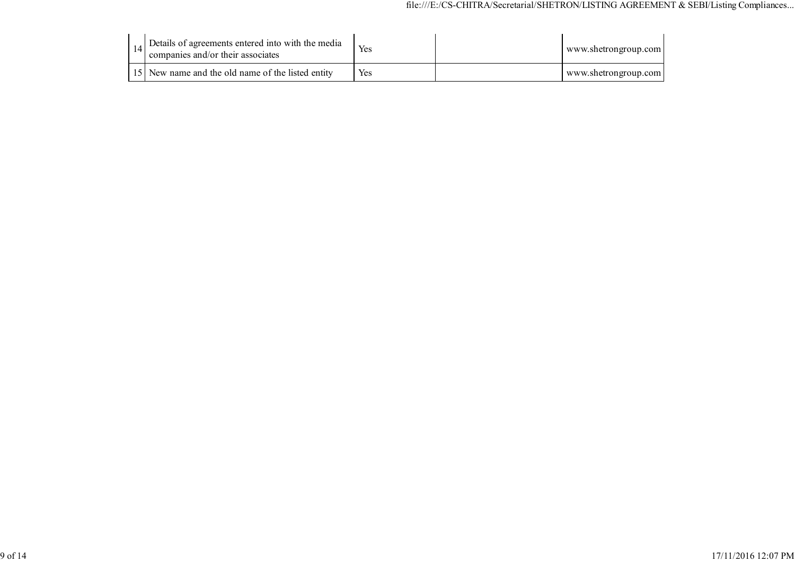|  | 14. Details of agreements entered into with the media<br>companies and/or their associates | Yes | www.shetrongroup.com |
|--|--------------------------------------------------------------------------------------------|-----|----------------------|
|  | 15 New name and the old name of the listed entity                                          | Yes | www.shetrongroup.com |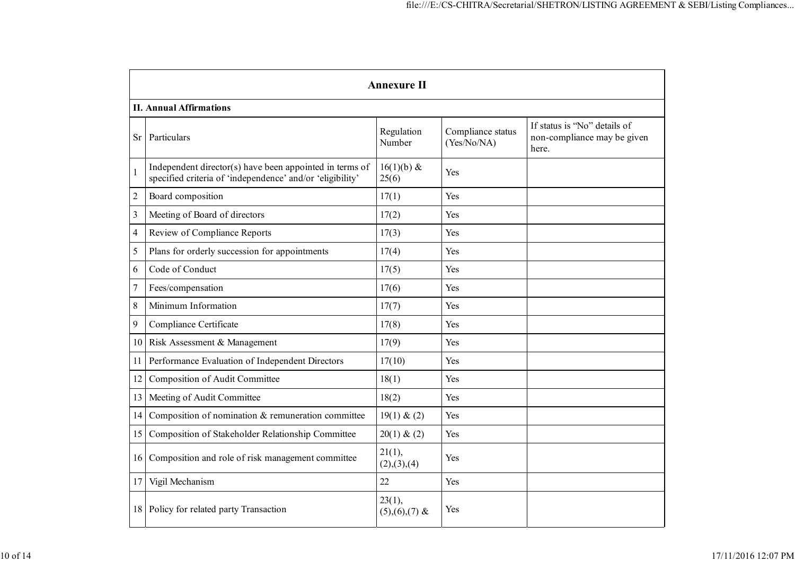|                | <b>Annexure II</b>                                                                                                   |                           |                                  |                                                                      |  |  |  |  |  |  |
|----------------|----------------------------------------------------------------------------------------------------------------------|---------------------------|----------------------------------|----------------------------------------------------------------------|--|--|--|--|--|--|
|                | <b>II. Annual Affirmations</b>                                                                                       |                           |                                  |                                                                      |  |  |  |  |  |  |
| <b>Sr</b>      | Particulars                                                                                                          | Regulation<br>Number      | Compliance status<br>(Yes/No/NA) | If status is "No" details of<br>non-compliance may be given<br>here. |  |  |  |  |  |  |
| $\mathbf{1}$   | Independent director(s) have been appointed in terms of<br>specified criteria of 'independence' and/or 'eligibility' | $16(1)(b)$ &<br>25(6)     | Yes                              |                                                                      |  |  |  |  |  |  |
| $\overline{c}$ | Board composition                                                                                                    | 17(1)                     | Yes                              |                                                                      |  |  |  |  |  |  |
| 3              | Meeting of Board of directors                                                                                        | 17(2)                     | Yes                              |                                                                      |  |  |  |  |  |  |
| 4              | Review of Compliance Reports                                                                                         | 17(3)                     | Yes                              |                                                                      |  |  |  |  |  |  |
| 5              | Plans for orderly succession for appointments                                                                        | 17(4)                     | Yes                              |                                                                      |  |  |  |  |  |  |
| 6              | Code of Conduct                                                                                                      | 17(5)                     | Yes                              |                                                                      |  |  |  |  |  |  |
| $\overline{7}$ | Fees/compensation                                                                                                    | 17(6)                     | Yes                              |                                                                      |  |  |  |  |  |  |
| 8              | Minimum Information                                                                                                  | 17(7)                     | Yes                              |                                                                      |  |  |  |  |  |  |
| 9              | Compliance Certificate                                                                                               | 17(8)                     | Yes                              |                                                                      |  |  |  |  |  |  |
| 10             | Risk Assessment & Management                                                                                         | 17(9)                     | Yes                              |                                                                      |  |  |  |  |  |  |
| 11             | Performance Evaluation of Independent Directors                                                                      | 17(10)                    | Yes                              |                                                                      |  |  |  |  |  |  |
| 12             | Composition of Audit Committee                                                                                       | 18(1)                     | Yes                              |                                                                      |  |  |  |  |  |  |
| 13             | Meeting of Audit Committee                                                                                           | 18(2)                     | Yes                              |                                                                      |  |  |  |  |  |  |
| 14             | Composition of nomination & remuneration committee                                                                   | 19(1) & (2)               | Yes                              |                                                                      |  |  |  |  |  |  |
| 15             | Composition of Stakeholder Relationship Committee                                                                    | 20(1) & (2)               | Yes                              |                                                                      |  |  |  |  |  |  |
| 16             | Composition and role of risk management committee                                                                    | 21(1),<br>(2), (3), (4)   | Yes                              |                                                                      |  |  |  |  |  |  |
| 17             | Vigil Mechanism                                                                                                      | 22                        | Yes                              |                                                                      |  |  |  |  |  |  |
| 18             | Policy for related party Transaction                                                                                 | 23(1),<br>$(5),(6),(7)$ & | Yes                              |                                                                      |  |  |  |  |  |  |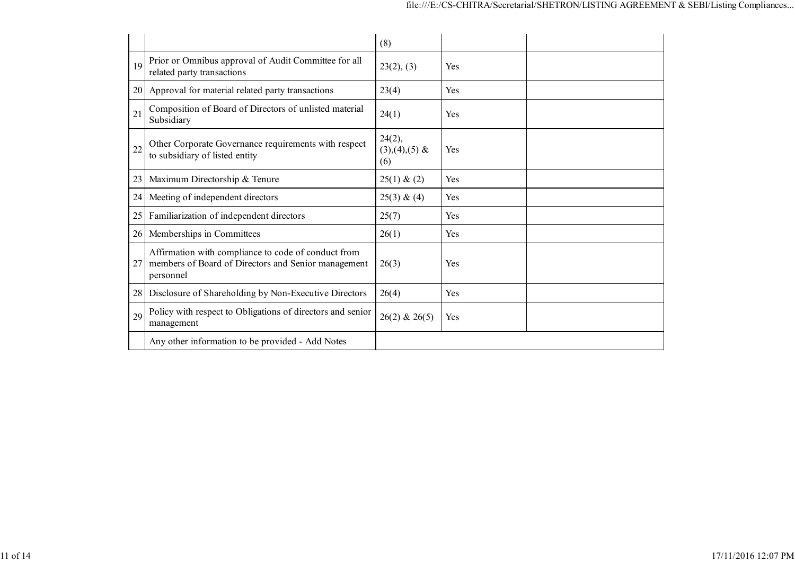|    |                                                                                                                         | (8)                              |            |
|----|-------------------------------------------------------------------------------------------------------------------------|----------------------------------|------------|
| 19 | Prior or Omnibus approval of Audit Committee for all<br>related party transactions                                      | 23(2), (3)                       | <b>Yes</b> |
| 20 | Approval for material related party transactions                                                                        | 23(4)                            | Yes        |
| 21 | Composition of Board of Directors of unlisted material<br>Subsidiary                                                    | 24(1)                            | Yes        |
| 22 | Other Corporate Governance requirements with respect<br>to subsidiary of listed entity                                  | 24(2),<br>$(3),(4),(5)$ &<br>(6) | Yes        |
| 23 | Maximum Directorship & Tenure                                                                                           | $25(1) \& (2)$                   | Yes        |
| 24 | Meeting of independent directors                                                                                        | 25(3) & (4)                      | <b>Yes</b> |
| 25 | Familiarization of independent directors                                                                                | 25(7)                            | Yes        |
| 26 | Memberships in Committees                                                                                               | 26(1)                            | Yes        |
| 27 | Affirmation with compliance to code of conduct from<br>members of Board of Directors and Senior management<br>personnel | 26(3)                            | <b>Yes</b> |
| 28 | Disclosure of Shareholding by Non-Executive Directors                                                                   | 26(4)                            | Yes        |
| 29 | Policy with respect to Obligations of directors and senior<br>management                                                | $26(2)$ & $26(5)$                | Yes        |
|    | Any other information to be provided - Add Notes                                                                        |                                  |            |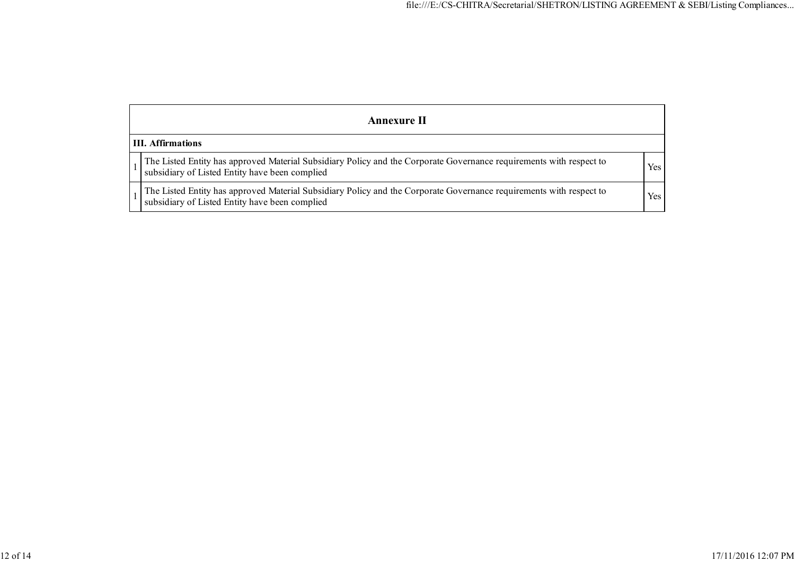| Annexure II                                                                                                                                                           |     |  |  |  |  |  |  |
|-----------------------------------------------------------------------------------------------------------------------------------------------------------------------|-----|--|--|--|--|--|--|
| <b>III.</b> Affirmations                                                                                                                                              |     |  |  |  |  |  |  |
| The Listed Entity has approved Material Subsidiary Policy and the Corporate Governance requirements with respect to<br>subsidiary of Listed Entity have been complied | Yes |  |  |  |  |  |  |
| The Listed Entity has approved Material Subsidiary Policy and the Corporate Governance requirements with respect to<br>subsidiary of Listed Entity have been complied | Yes |  |  |  |  |  |  |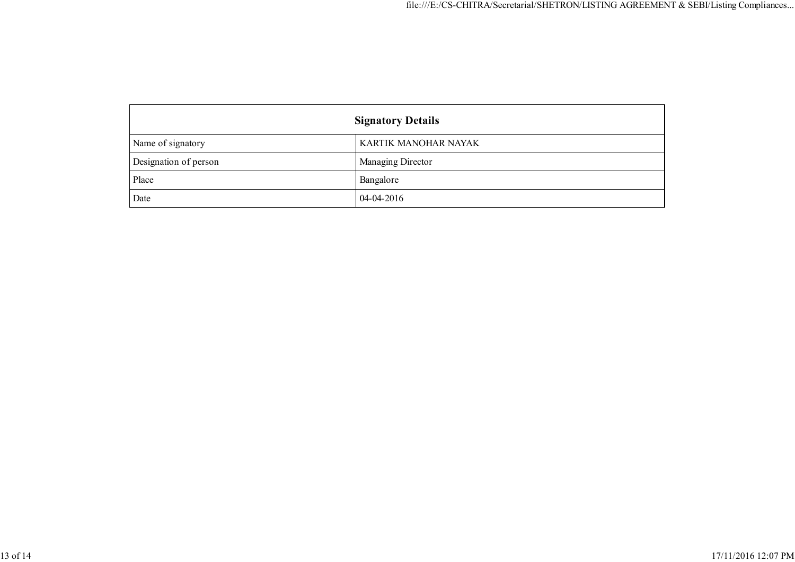| <b>Signatory Details</b> |                      |
|--------------------------|----------------------|
| Name of signatory        | KARTIK MANOHAR NAYAK |
| Designation of person    | Managing Director    |
| Place                    | Bangalore            |
| Date                     | $04-04-2016$         |